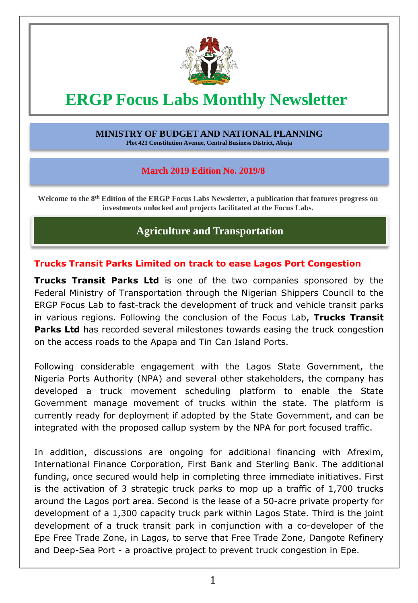

# **ERGP Focus Labs Monthly Newsletter**

# **MINISTRY OF BUDGET AND NATIONAL PLANNING**

**Plot 421 Constitution Avenue, Central Business District, Abuja**

## **March 2019 Edition No. 2019/8**

**Welcome to the 8th Edition of the ERGP Focus Labs Newsletter, a publication that features progress on investments unlocked and projects facilitated at the Focus Labs.**

# **Agriculture and Transportation**

#### **Trucks Transit Parks Limited on track to ease Lagos Port Congestion**

**Trucks Transit Parks Ltd** is one of the two companies sponsored by the Federal Ministry of Transportation through the Nigerian Shippers Council to the ERGP Focus Lab to fast-track the development of truck and vehicle transit parks in various regions. Following the conclusion of the Focus Lab, **Trucks Transit Parks Ltd** has recorded several milestones towards easing the truck congestion on the access roads to the Apapa and Tin Can Island Ports.

Following considerable engagement with the Lagos State Government, the Nigeria Ports Authority (NPA) and several other stakeholders, the company has developed a truck movement scheduling platform to enable the State Government manage movement of trucks within the state. The platform is currently ready for deployment if adopted by the State Government, and can be integrated with the proposed callup system by the NPA for port focused traffic.

In addition, discussions are ongoing for additional financing with Afrexim, International Finance Corporation, First Bank and Sterling Bank. The additional funding, once secured would help in completing three immediate initiatives. First is the activation of 3 strategic truck parks to mop up a traffic of 1,700 trucks around the Lagos port area. Second is the lease of a 50-acre private property for development of a 1,300 capacity truck park within Lagos State. Third is the joint development of a truck transit park in conjunction with a co-developer of the Epe Free Trade Zone, in Lagos, to serve that Free Trade Zone, Dangote Refinery and Deep-Sea Port - a proactive project to prevent truck congestion in Epe.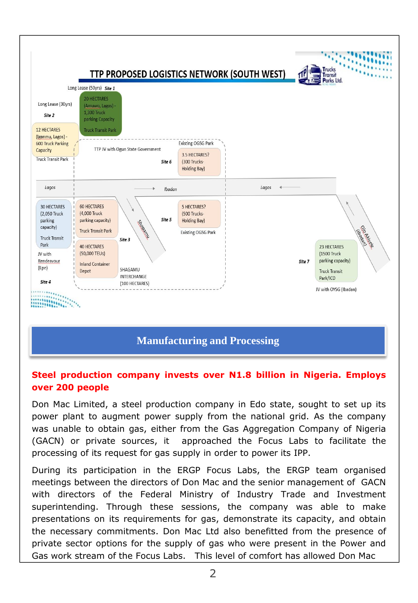

## **Manufacturing and Processing**

#### **Steel production company invests over N1.8 billion in Nigeria. Employs over 200 people**

Don Mac Limited, a steel production company in Edo state, sought to set up its power plant to augment power supply from the national grid. As the company was unable to obtain gas, either from the Gas Aggregation Company of Nigeria (GACN) or private sources, it approached the Focus Labs to facilitate the processing of its request for gas supply in order to power its IPP.

During its participation in the ERGP Focus Labs, the ERGP team organised meetings between the directors of Don Mac and the senior management of GACN with directors of the Federal Ministry of Industry Trade and Investment superintending. Through these sessions, the company was able to make presentations on its requirements for gas, demonstrate its capacity, and obtain the necessary commitments. Don Mac Ltd also benefitted from the presence of private sector options for the supply of gas who were present in the Power and Gas work stream of the Focus Labs. This level of comfort has allowed Don Mac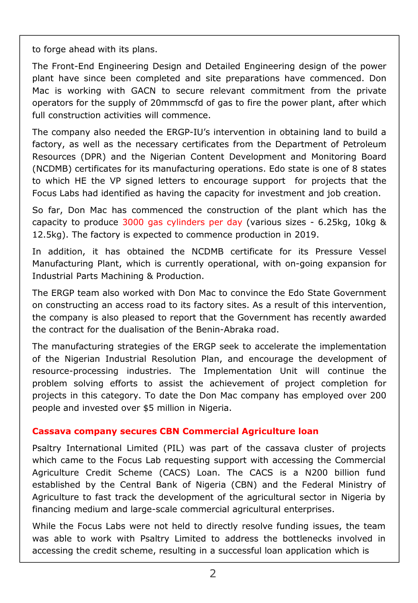to forge ahead with its plans.

The Front-End Engineering Design and Detailed Engineering design of the power plant have since been completed and site preparations have commenced. Don Mac is working with GACN to secure relevant commitment from the private operators for the supply of 20mmmscfd of gas to fire the power plant, after which full construction activities will commence.

The company also needed the ERGP-IU's intervention in obtaining land to build a factory, as well as the necessary certificates from the Department of Petroleum Resources (DPR) and the Nigerian Content Development and Monitoring Board (NCDMB) certificates for its manufacturing operations. Edo state is one of 8 states to which HE the VP signed letters to encourage support for projects that the Focus Labs had identified as having the capacity for investment and job creation.

So far, Don Mac has commenced the construction of the plant which has the capacity to produce 3000 gas cylinders per day (various sizes - 6.25kg, 10kg & 12.5kg). The factory is expected to commence production in 2019.

In addition, it has obtained the NCDMB certificate for its Pressure Vessel Manufacturing Plant, which is currently operational, with on-going expansion for Industrial Parts Machining & Production.

The ERGP team also worked with Don Mac to convince the Edo State Government on constructing an access road to its factory sites. As a result of this intervention, the company is also pleased to report that the Government has recently awarded the contract for the dualisation of the Benin-Abraka road.

The manufacturing strategies of the ERGP seek to accelerate the implementation of the Nigerian Industrial Resolution Plan, and encourage the development of resource-processing industries. The Implementation Unit will continue the problem solving efforts to assist the achievement of project completion for projects in this category. To date the Don Mac company has employed over 200 people and invested over \$5 million in Nigeria.

#### **Cassava company secures CBN Commercial Agriculture loan**

Psaltry International Limited (PIL) was part of the cassava cluster of projects which came to the Focus Lab requesting support with accessing the Commercial Agriculture Credit Scheme (CACS) Loan. The CACS is a N200 billion fund established by the Central Bank of Nigeria (CBN) and the Federal Ministry of Agriculture to fast track the development of the agricultural sector in Nigeria by financing medium and large-scale commercial agricultural enterprises.

While the Focus Labs were not held to directly resolve funding issues, the team was able to work with Psaltry Limited to address the bottlenecks involved in accessing the credit scheme, resulting in a successful loan application which is